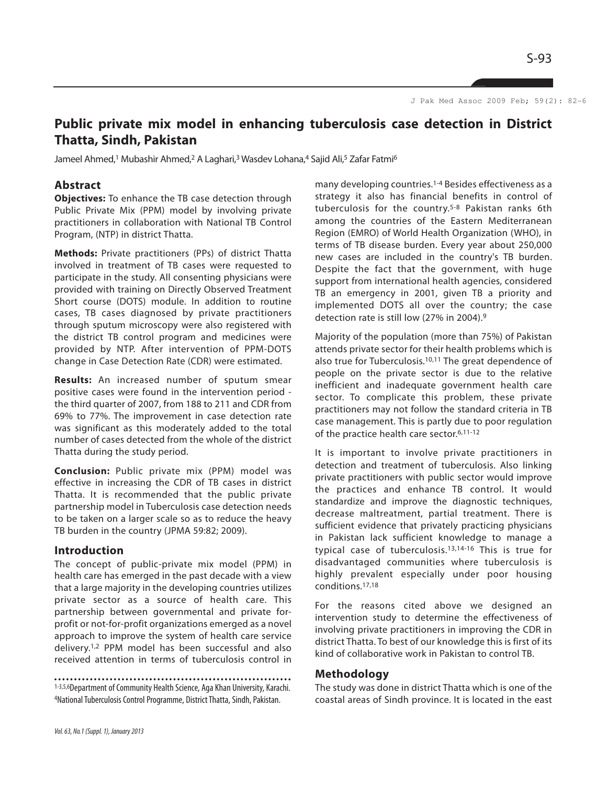J Pak Med Assoc 2009 Feb; 59(2): 82-6

# **Public private mix model in enhancing tuberculosis case detection in District Thatta, Sindh, Pakistan**

Jameel Ahmed,<sup>1</sup> Mubashir Ahmed,<sup>2</sup> A Laghari,<sup>3</sup> Wasdev Lohana,<sup>4</sup> Sajid Ali,<sup>5</sup> Zafar Fatmi<sup>6</sup>

# **Abstract**

**Objectives:** To enhance the TB case detection through Public Private Mix (PPM) model by involving private practitioners in collaboration with National TB Control Program, (NTP) in district Thatta.

**Methods:** Private practitioners (PPs) of district Thatta involved in treatment of TB cases were requested to participate in the study. All consenting physicians were provided with training on Directly Observed Treatment Short course (DOTS) module. In addition to routine cases, TB cases diagnosed by private practitioners through sputum microscopy were also registered with the district TB control program and medicines were provided by NTP. After intervention of PPM-DOTS change in Case Detection Rate (CDR) were estimated.

**Results:** An increased number of sputum smear positive cases were found in the intervention period the third quarter of 2007, from 188 to 211 and CDR from 69% to 77%. The improvement in case detection rate was significant as this moderately added to the total number of cases detected from the whole of the district Thatta during the study period.

**Conclusion:** Public private mix (PPM) model was effective in increasing the CDR of TB cases in district Thatta. It is recommended that the public private partnership model in Tuberculosis case detection needs to be taken on a larger scale so as to reduce the heavy TB burden in the country (JPMA 59:82; 2009).

## **Introduction**

The concept of public-private mix model (PPM) in health care has emerged in the past decade with a view that a large majority in the developing countries utilizes private sector as a source of health care. This partnership between governmental and private forprofit or not-for-profit organizations emerged as a novel approach to improve the system of health care service delivery.1,2 PPM model has been successful and also received attention in terms of tuberculosis control in

1-3,5,6Department of Community Health Science, Aga Khan University, Karachi. 4National Tuberculosis Control Programme, District Thatta, Sindh, Pakistan.

many developing countries.1-4 Besides effectiveness as a strategy it also has financial benefits in control of tuberculosis for the country.5-8 Pakistan ranks 6th among the countries of the Eastern Mediterranean Region (EMRO) of World Health Organization (WHO), in terms of TB disease burden. Every year about 250,000 new cases are included in the country's TB burden. Despite the fact that the government, with huge support from international health agencies, considered TB an emergency in 2001, given TB a priority and implemented DOTS all over the country; the case detection rate is still low (27% in 2004).<sup>9</sup>

Majority of the population (more than 75%) of Pakistan attends private sector for their health problems which is also true for Tuberculosis.10,11 The great dependence of people on the private sector is due to the relative inefficient and inadequate government health care sector. To complicate this problem, these private practitioners may not follow the standard criteria in TB case management. This is partly due to poor regulation of the practice health care sector.6,11-12

It is important to involve private practitioners in detection and treatment of tuberculosis. Also linking private practitioners with public sector would improve the practices and enhance TB control. It would standardize and improve the diagnostic techniques, decrease maltreatment, partial treatment. There is sufficient evidence that privately practicing physicians in Pakistan lack sufficient knowledge to manage a typical case of tuberculosis.13,14-16 This is true for disadvantaged communities where tuberculosis is highly prevalent especially under poor housing conditions.17,18

For the reasons cited above we designed an intervention study to determine the effectiveness of involving private practitioners in improving the CDR in district Thatta. To best of our knowledge this is first of its kind of collaborative work in Pakistan to control TB.

### **Methodology**

The study was done in district Thatta which is one of the coastal areas of Sindh province. It is located in the east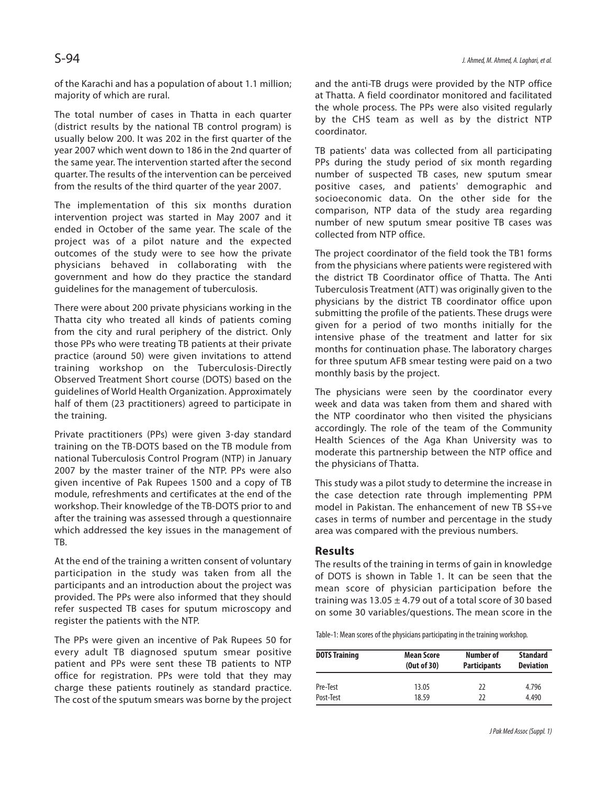of the Karachi and has a population of about 1.1 million; majority of which are rural.

The total number of cases in Thatta in each quarter (district results by the national TB control program) is usually below 200. It was 202 in the first quarter of the year 2007 which went down to 186 in the 2nd quarter of the same year. The intervention started after the second quarter. The results of the intervention can be perceived from the results of the third quarter of the year 2007.

The implementation of this six months duration intervention project was started in May 2007 and it ended in October of the same year. The scale of the project was of a pilot nature and the expected outcomes of the study were to see how the private physicians behaved in collaborating with the government and how do they practice the standard guidelines for the management of tuberculosis.

There were about 200 private physicians working in the Thatta city who treated all kinds of patients coming from the city and rural periphery of the district. Only those PPs who were treating TB patients at their private practice (around 50) were given invitations to attend training workshop on the Tuberculosis-Directly Observed Treatment Short course (DOTS) based on the guidelines of World Health Organization. Approximately half of them (23 practitioners) agreed to participate in the training.

Private practitioners (PPs) were given 3-day standard training on the TB-DOTS based on the TB module from national Tuberculosis Control Program (NTP) in January 2007 by the master trainer of the NTP. PPs were also given incentive of Pak Rupees 1500 and a copy of TB module, refreshments and certificates at the end of the workshop. Their knowledge of the TB-DOTS prior to and after the training was assessed through a questionnaire which addressed the key issues in the management of TB.

At the end of the training a written consent of voluntary participation in the study was taken from all the participants and an introduction about the project was provided. The PPs were also informed that they should refer suspected TB cases for sputum microscopy and register the patients with the NTP.

The PPs were given an incentive of Pak Rupees 50 for every adult TB diagnosed sputum smear positive patient and PPs were sent these TB patients to NTP office for registration. PPs were told that they may charge these patients routinely as standard practice. The cost of the sputum smears was borne by the project

and the anti-TB drugs were provided by the NTP office at Thatta. A field coordinator monitored and facilitated the whole process. The PPs were also visited regularly by the CHS team as well as by the district NTP coordinator.

TB patients' data was collected from all participating PPs during the study period of six month regarding number of suspected TB cases, new sputum smear positive cases, and patients' demographic and socioeconomic data. On the other side for the comparison, NTP data of the study area regarding number of new sputum smear positive TB cases was collected from NTP office.

The project coordinator of the field took the TB1 forms from the physicians where patients were registered with the district TB Coordinator office of Thatta. The Anti Tuberculosis Treatment (ATT) was originally given to the physicians by the district TB coordinator office upon submitting the profile of the patients. These drugs were given for a period of two months initially for the intensive phase of the treatment and latter for six months for continuation phase. The laboratory charges for three sputum AFB smear testing were paid on a two monthly basis by the project.

The physicians were seen by the coordinator every week and data was taken from them and shared with the NTP coordinator who then visited the physicians accordingly. The role of the team of the Community Health Sciences of the Aga Khan University was to moderate this partnership between the NTP office and the physicians of Thatta.

This study was a pilot study to determine the increase in the case detection rate through implementing PPM model in Pakistan. The enhancement of new TB SS+ve cases in terms of number and percentage in the study area was compared with the previous numbers.

# **Results**

The results of the training in terms of gain in knowledge of DOTS is shown in Table 1. It can be seen that the mean score of physician participation before the training was  $13.05 \pm 4.79$  out of a total score of 30 based on some 30 variables/questions. The mean score in the

Table-1: Mean scores of the physicians participating in the training workshop.

| <b>DOTS Training</b> | <b>Mean Score</b><br>(Out of 30) | Number of<br><b>Participants</b> | <b>Standard</b><br><b>Deviation</b> |
|----------------------|----------------------------------|----------------------------------|-------------------------------------|
| Pre-Test             | 13.05                            | 22                               | 4.796                               |
| Post-Test            | 18.59                            | 77                               | 4.490                               |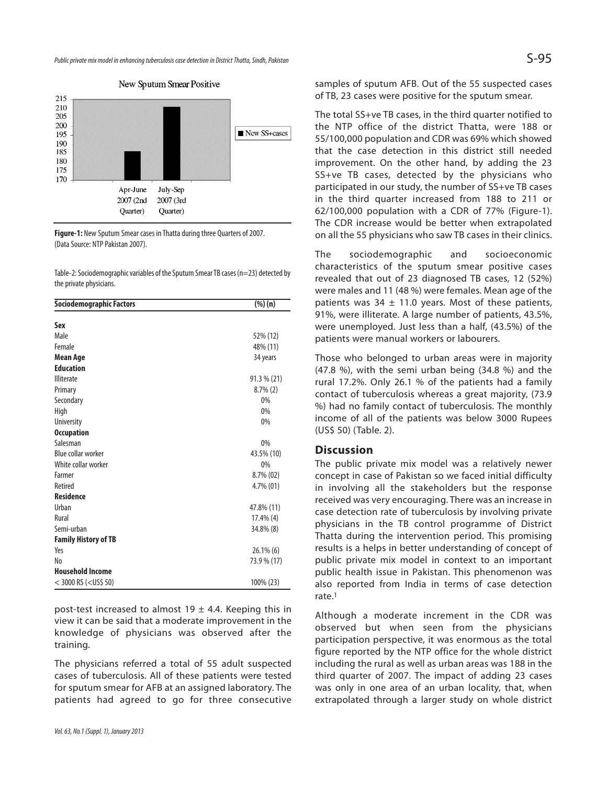Public private mix model in enhancing tuberculosis case detection in District Thatta, Sindh, Pakistan  $S$  -95  $\,$ 



New Sputum Smear Positive

**Figure-1:** New Sputum Smear cases in Thatta during three Quarters of 2007. (Data Source: NTP Pakistan 2007).

Table-2: Sociodemographic variables of the Sputum Smear TB cases (n=23) detected by the private physicians.

| Sociodemographic Factors     | $(\%)(n)$      |
|------------------------------|----------------|
| Sex                          |                |
| Male                         | 52% (12)       |
| Female                       | 48% (11)       |
|                              |                |
| Mean Age<br><b>Education</b> | 34 years       |
|                              |                |
| <b>Illiterate</b>            | $91.3 \% (21)$ |
| Primary                      | $8.7\%$ (2)    |
| Secondary                    | 0%             |
| High                         | 0%             |
| <b>University</b>            | 0%             |
| <b>Occupation</b>            |                |
| Salesman                     | 0%             |
| Blue collar worker           | 43.5% (10)     |
| White collar worker          | 0%             |
| Farmer                       | 8.7% (02)      |
| Retired                      | 4.7% (01)      |
| <b>Residence</b>             |                |
| Urban                        | 47.8% (11)     |
| Rural                        | $17.4\%$ (4)   |
| Semi-urban                   | 34.8% (8)      |
| <b>Family History of TB</b>  |                |
| Yes                          | 26.1% (6)      |
| No                           | 73.9 % (17)    |
| <b>Household Income</b>      |                |
| $<$ 3000 RS ( $<$ US\$ 50)   | 100% (23)      |

post-test increased to almost 19  $\pm$  4.4. Keeping this in view it can be said that a moderate improvement in the knowledge of physicians was observed after the training.

The physicians referred a total of 55 adult suspected cases of tuberculosis. All of these patients were tested for sputum smear for AFB at an assigned laboratory. The patients had agreed to go for three consecutive samples of sputum AFB. Out of the 55 suspected cases of TB, 23 cases were positive for the sputum smear.

The total SS+ve TB cases, in the third quarter notified to the NTP office of the district Thatta, were 188 or 55/100,000 population and CDR was 69% which showed that the case detection in this district still needed improvement. On the other hand, by adding the 23 SS+ve TB cases, detected by the physicians who participated in our study, the number of SS+ve TB cases in the third quarter increased from 188 to 211 or 62/100,000 population with a CDR of 77% (Figure-1). The CDR increase would be better when extrapolated on all the 55 physicians who saw TB cases in their clinics.

The sociodemographic and socioeconomic characteristics of the sputum smear positive cases revealed that out of 23 diagnosed TB cases, 12 (52%) were males and 11 (48 %) were females. Mean age of the patients was 34  $\pm$  11.0 years. Most of these patients, 91%, were illiterate. A large number of patients, 43.5%, were unemployed. Just less than a half, (43.5%) of the patients were manual workers or labourers.

Those who belonged to urban areas were in majority (47.8 %), with the semi urban being (34.8 %) and the rural 17.2%. Only 26.1 % of the patients had a family contact of tuberculosis whereas a great majority, (73.9 %) had no family contact of tuberculosis. The monthly income of all of the patients was below 3000 Rupees (US\$ 50) (Table. 2).

# **Discussion**

The public private mix model was a relatively newer concept in case of Pakistan so we faced initial difficulty in involving all the stakeholders but the response received was very encouraging. There was an increase in case detection rate of tuberculosis by involving private physicians in the TB control programme of District Thatta during the intervention period. This promising results is a helps in better understanding of concept of public private mix model in context to an important public health issue in Pakistan. This phenomenon was also reported from India in terms of case detection rate.<sup>1</sup>

Although a moderate increment in the CDR was observed but when seen from the physicians participation perspective, it was enormous as the total figure reported by the NTP office for the whole district including the rural as well as urban areas was 188 in the third quarter of 2007. The impact of adding 23 cases was only in one area of an urban locality, that, when extrapolated through a larger study on whole district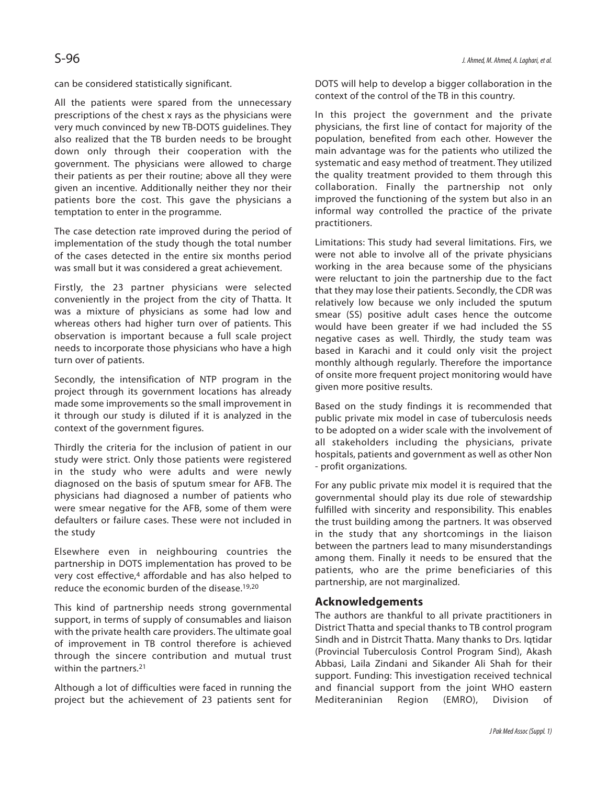can be considered statistically significant.

All the patients were spared from the unnecessary prescriptions of the chest x rays as the physicians were very much convinced by new TB-DOTS guidelines. They also realized that the TB burden needs to be brought down only through their cooperation with the government. The physicians were allowed to charge their patients as per their routine; above all they were given an incentive. Additionally neither they nor their patients bore the cost. This gave the physicians a temptation to enter in the programme.

The case detection rate improved during the period of implementation of the study though the total number of the cases detected in the entire six months period was small but it was considered a great achievement.

Firstly, the 23 partner physicians were selected conveniently in the project from the city of Thatta. It was a mixture of physicians as some had low and whereas others had higher turn over of patients. This observation is important because a full scale project needs to incorporate those physicians who have a high turn over of patients.

Secondly, the intensification of NTP program in the project through its government locations has already made some improvements so the small improvement in it through our study is diluted if it is analyzed in the context of the government figures.

Thirdly the criteria for the inclusion of patient in our study were strict. Only those patients were registered in the study who were adults and were newly diagnosed on the basis of sputum smear for AFB. The physicians had diagnosed a number of patients who were smear negative for the AFB, some of them were defaulters or failure cases. These were not included in the study

Elsewhere even in neighbouring countries the partnership in DOTS implementation has proved to be very cost effective,<sup>4</sup> affordable and has also helped to reduce the economic burden of the disease.19,20

This kind of partnership needs strong governmental support, in terms of supply of consumables and liaison with the private health care providers. The ultimate goal of improvement in TB control therefore is achieved through the sincere contribution and mutual trust within the partners.<sup>21</sup>

Although a lot of difficulties were faced in running the project but the achievement of 23 patients sent for DOTS will help to develop a bigger collaboration in the context of the control of the TB in this country.

In this project the government and the private physicians, the first line of contact for majority of the population, benefited from each other. However the main advantage was for the patients who utilized the systematic and easy method of treatment. They utilized the quality treatment provided to them through this collaboration. Finally the partnership not only improved the functioning of the system but also in an informal way controlled the practice of the private practitioners.

Limitations: This study had several limitations. Firs, we were not able to involve all of the private physicians working in the area because some of the physicians were reluctant to join the partnership due to the fact that they may lose their patients. Secondly, the CDR was relatively low because we only included the sputum smear (SS) positive adult cases hence the outcome would have been greater if we had included the SS negative cases as well. Thirdly, the study team was based in Karachi and it could only visit the project monthly although regularly. Therefore the importance of onsite more frequent project monitoring would have given more positive results.

Based on the study findings it is recommended that public private mix model in case of tuberculosis needs to be adopted on a wider scale with the involvement of all stakeholders including the physicians, private hospitals, patients and government as well as other Non - profit organizations.

For any public private mix model it is required that the governmental should play its due role of stewardship fulfilled with sincerity and responsibility. This enables the trust building among the partners. It was observed in the study that any shortcomings in the liaison between the partners lead to many misunderstandings among them. Finally it needs to be ensured that the patients, who are the prime beneficiaries of this partnership, are not marginalized.

### **Acknowledgements**

The authors are thankful to all private practitioners in District Thatta and special thanks to TB control program Sindh and in Distrcit Thatta. Many thanks to Drs. Iqtidar (Provincial Tuberculosis Control Program Sind), Akash Abbasi, Laila Zindani and Sikander Ali Shah for their support. Funding: This investigation received technical and financial support from the joint WHO eastern Mediteraninian Region (EMRO), Division of